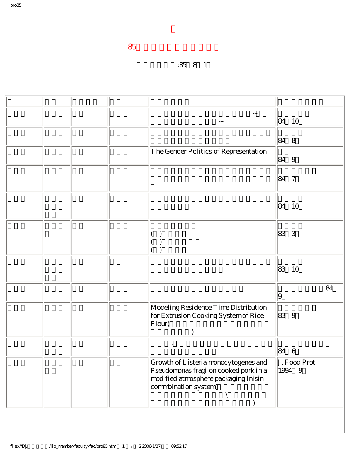## 升等生效日期:85年8月1日

|  |  | $\tilde{}$<br>$\thicksim$                                                                                                                     | 84 10                  |    |
|--|--|-----------------------------------------------------------------------------------------------------------------------------------------------|------------------------|----|
|  |  |                                                                                                                                               | 848                    |    |
|  |  | The Gender Politics of Representation                                                                                                         | 849                    |    |
|  |  |                                                                                                                                               | 847                    |    |
|  |  |                                                                                                                                               | 10<br>84               |    |
|  |  |                                                                                                                                               | 3<br>83                |    |
|  |  |                                                                                                                                               | 83<br>10               |    |
|  |  |                                                                                                                                               | 9                      | 84 |
|  |  | Modeling Residence Time Distribution<br>for Extrusion Cooking System of Rice<br> Flour(                                                       | 839                    |    |
|  |  | $\bullet$                                                                                                                                     | 846                    |    |
|  |  | Growth of Listeria monocytogenes and<br>Pseudomonas fragi on cooked pork in a<br>modified atmosphere packaging Inisin<br>commbination system( | J. Food Prot<br>1994 9 |    |